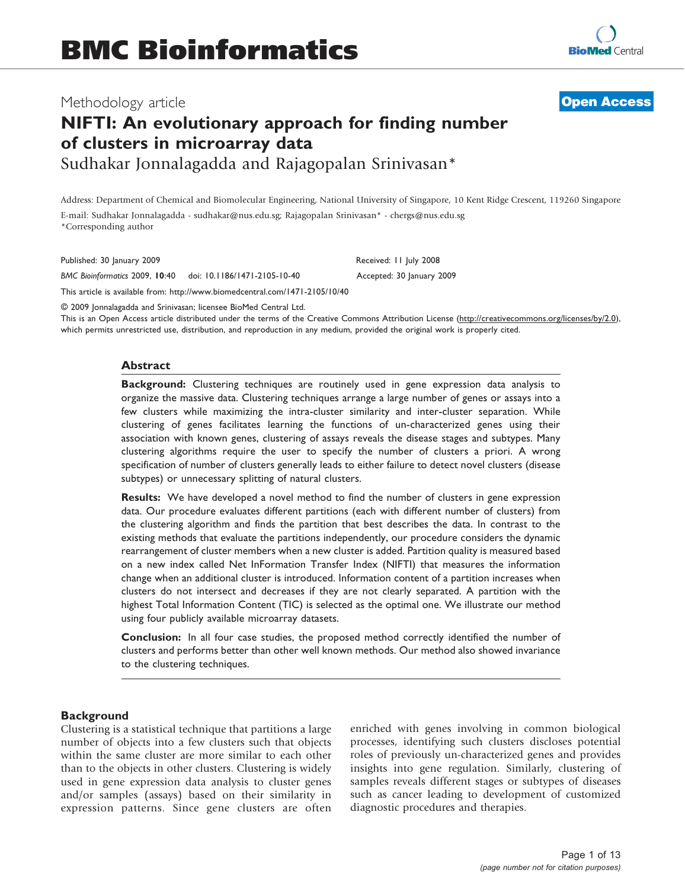# Methodology article

# NIFTI: An evolutionary approach for finding number of clusters in microarray data Sudhakar Jonnalagadda and Rajagopalan Srinivasan\*

**[BioMed](http://www.biomedcentral.com/) Central** 

[Open Access](http://www.biomedcentral.com/info/about/charter/)

Address: Department of Chemical and Biomolecular Engineering, National University of Singapore, 10 Kent Ridge Crescent, 119260 Singapore E-mail: Sudhakar Jonnalagadda - sudhakar@nus.edu.sg; Rajagopalan Srinivasan\* - chergs@nus.edu.sg \*Corresponding author

Published: 30 January 2009 **Received: 11 July 2008** Received: 11 July 2008

BMC Bioinformatics 2009, 10:40 doi: 10.1186/1471-2105-10-40 Accepted: 30 January 2009

This article is available from: http://www.biomedcentral.com/1471-2105/10/40

© 2009 Jonnalagadda and Srinivasan; licensee BioMed Central Ltd.

This is an Open Access article distributed under the terms of the Creative Commons Attribution License [\(http://creativecommons.org/licenses/by/2.0\)](http://creativecommons.org/licenses/by/2.0), which permits unrestricted use, distribution, and reproduction in any medium, provided the original work is properly cited.

# Abstract

**Background:** Clustering techniques are routinely used in gene expression data analysis to organize the massive data. Clustering techniques arrange a large number of genes or assays into a few clusters while maximizing the intra-cluster similarity and inter-cluster separation. While clustering of genes facilitates learning the functions of un-characterized genes using their association with known genes, clustering of assays reveals the disease stages and subtypes. Many clustering algorithms require the user to specify the number of clusters a priori. A wrong specification of number of clusters generally leads to either failure to detect novel clusters (disease subtypes) or unnecessary splitting of natural clusters.

**Results:** We have developed a novel method to find the number of clusters in gene expression data. Our procedure evaluates different partitions (each with different number of clusters) from the clustering algorithm and finds the partition that best describes the data. In contrast to the existing methods that evaluate the partitions independently, our procedure considers the dynamic rearrangement of cluster members when a new cluster is added. Partition quality is measured based on a new index called Net InFormation Transfer Index (NIFTI) that measures the information change when an additional cluster is introduced. Information content of a partition increases when clusters do not intersect and decreases if they are not clearly separated. A partition with the highest Total Information Content (TIC) is selected as the optimal one. We illustrate our method using four publicly available microarray datasets.

Conclusion: In all four case studies, the proposed method correctly identified the number of clusters and performs better than other well known methods. Our method also showed invariance to the clustering techniques.

# **Background**

Clustering is a statistical technique that partitions a large number of objects into a few clusters such that objects within the same cluster are more similar to each other than to the objects in other clusters. Clustering is widely used in gene expression data analysis to cluster genes and/or samples (assays) based on their similarity in expression patterns. Since gene clusters are often enriched with genes involving in common biological processes, identifying such clusters discloses potential roles of previously un-characterized genes and provides insights into gene regulation. Similarly, clustering of samples reveals different stages or subtypes of diseases such as cancer leading to development of customized diagnostic procedures and therapies.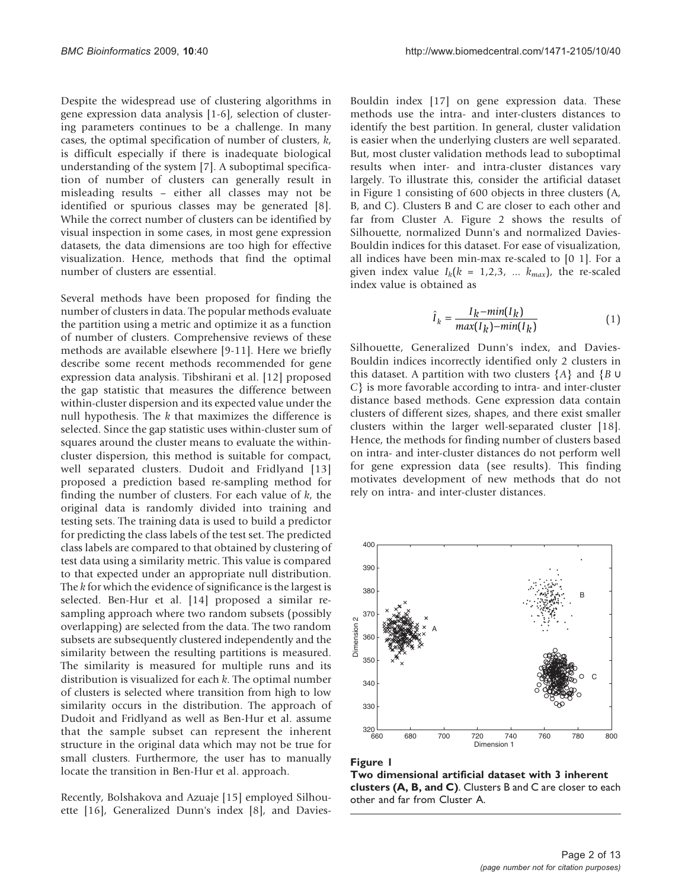Despite the widespread use of clustering algorithms in gene expression data analysis [[1](#page-11-0)[-6\]](#page-12-0), selection of clustering parameters continues to be a challenge. In many cases, the optimal specification of number of clusters, k, is difficult especially if there is inadequate biological understanding of the system [\[7\]](#page-12-0). A suboptimal specification of number of clusters can generally result in misleading results – either all classes may not be identified or spurious classes may be generated [[8](#page-12-0)]. While the correct number of clusters can be identified by visual inspection in some cases, in most gene expression datasets, the data dimensions are too high for effective visualization. Hence, methods that find the optimal number of clusters are essential.

Several methods have been proposed for finding the number of clusters in data. The popular methods evaluate the partition using a metric and optimize it as a function of number of clusters. Comprehensive reviews of these methods are available elsewhere [\[9-11\]](#page-12-0). Here we briefly describe some recent methods recommended for gene expression data analysis. Tibshirani et al. [\[12](#page-12-0)] proposed the gap statistic that measures the difference between within-cluster dispersion and its expected value under the null hypothesis. The k that maximizes the difference is selected. Since the gap statistic uses within-cluster sum of squares around the cluster means to evaluate the withincluster dispersion, this method is suitable for compact, well separated clusters. Dudoit and Fridlyand [[13\]](#page-12-0) proposed a prediction based re-sampling method for finding the number of clusters. For each value of  $k$ , the original data is randomly divided into training and testing sets. The training data is used to build a predictor for predicting the class labels of the test set. The predicted class labels are compared to that obtained by clustering of test data using a similarity metric. This value is compared to that expected under an appropriate null distribution. The  $k$  for which the evidence of significance is the largest is selected. Ben-Hur et al. [\[14](#page-12-0)] proposed a similar resampling approach where two random subsets (possibly overlapping) are selected from the data. The two random subsets are subsequently clustered independently and the similarity between the resulting partitions is measured. The similarity is measured for multiple runs and its distribution is visualized for each k. The optimal number of clusters is selected where transition from high to low similarity occurs in the distribution. The approach of Dudoit and Fridlyand as well as Ben-Hur et al. assume that the sample subset can represent the inherent structure in the original data which may not be true for small clusters. Furthermore, the user has to manually locate the transition in Ben-Hur et al. approach.

Recently, Bolshakova and Azuaje [\[15](#page-12-0)] employed Silhouette [\[16](#page-12-0)], Generalized Dunn's index [\[8\]](#page-12-0), and DaviesBouldin index [\[17](#page-12-0)] on gene expression data. These methods use the intra- and inter-clusters distances to identify the best partition. In general, cluster validation is easier when the underlying clusters are well separated. But, most cluster validation methods lead to suboptimal results when inter- and intra-cluster distances vary largely. To illustrate this, consider the artificial dataset in Figure 1 consisting of 600 objects in three clusters (A, B, and C). Clusters B and C are closer to each other and far from Cluster A. Figure [2](#page-2-0) shows the results of Silhouette, normalized Dunn's and normalized Davies-Bouldin indices for this dataset. For ease of visualization, all indices have been min-max re-scaled to [0 1]. For a given index value  $I_k(k = 1,2,3, \dots k_{max})$ , the re-scaled index value is obtained as

$$
\hat{I}_k = \frac{I_k - min(I_k)}{max(I_k) - min(I_k)}\tag{1}
$$

Silhouette, Generalized Dunn's index, and Davies-Bouldin indices incorrectly identified only 2 clusters in this dataset. A partition with two clusters  $\{A\}$  and  $\{B \cup$ C} is more favorable according to intra- and inter-cluster distance based methods. Gene expression data contain clusters of different sizes, shapes, and there exist smaller clusters within the larger well-separated cluster [\[18](#page-12-0)]. Hence, the methods for finding number of clusters based on intra- and inter-cluster distances do not perform well for gene expression data (see results). This finding motivates development of new methods that do not rely on intra- and inter-cluster distances.



#### Figure 1

Two dimensional artificial dataset with 3 inherent clusters (A, B, and C). Clusters B and C are closer to each other and far from Cluster A.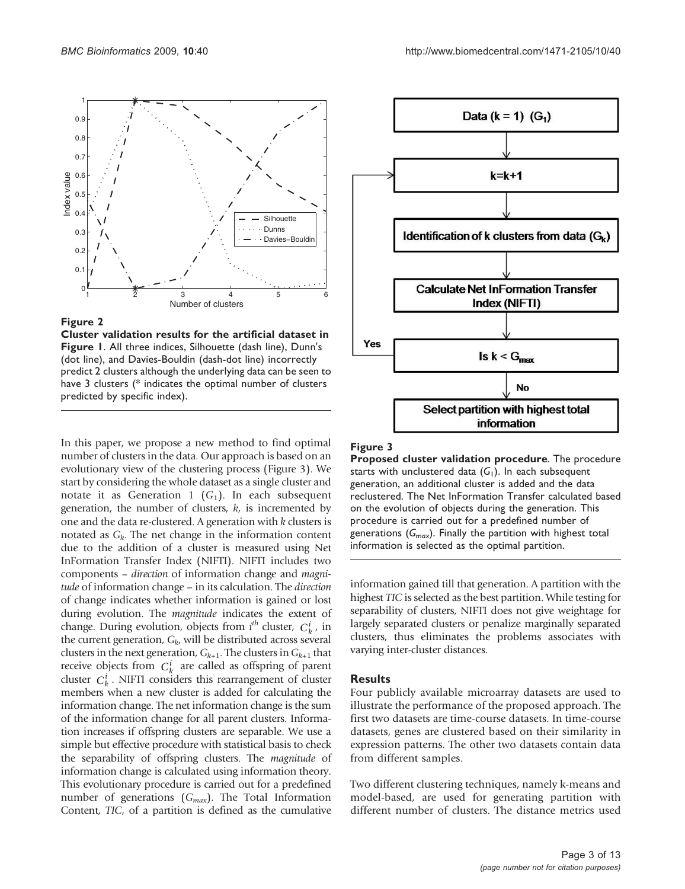<span id="page-2-0"></span>

# Figure 2

Cluster validation results for the artificial dataset in Figure 1. All three indices, Silhouette (dash line), Dunn's (dot line), and Davies-Bouldin (dash-dot line) incorrectly predict 2 clusters although the underlying data can be seen to have 3 clusters (\* indicates the optimal number of clusters predicted by specific index).

In this paper, we propose a new method to find optimal number of clusters in the data. Our approach is based on an evolutionary view of the clustering process (Figure 3). We start by considering the whole dataset as a single cluster and notate it as Generation 1  $(G_1)$ . In each subsequent generation, the number of clusters,  $k$ , is incremented by one and the data re-clustered. A generation with  $k$  clusters is notated as  $G_k$ . The net change in the information content due to the addition of a cluster is measured using Net InFormation Transfer Index (NIFTI). NIFTI includes two components – direction of information change and magnitude of information change – in its calculation. The direction of change indicates whether information is gained or lost during evolution. The magnitude indicates the extent of change. During evolution, objects from  $i^{th}$  cluster,  $C_k^i$ , in the current generation,  $G_{k}$ , will be distributed across several clusters in the next generation,  $G_{k+1}$ . The clusters in  $G_{k+1}$  that receive objects from  $C_k^i$  are called as offspring of parent cluster  $C_k^i$ . NIFTI considers this rearrangement of cluster members when a new cluster is added for calculating the information change. The net information change is the sum of the information change for all parent clusters. Information increases if offspring clusters are separable. We use a simple but effective procedure with statistical basis to check the separability of offspring clusters. The magnitude of information change is calculated using information theory. This evolutionary procedure is carried out for a predefined number of generations  $(G_{max})$ . The Total Information Content, TIC, of a partition is defined as the cumulative



# Figure 3

Proposed cluster validation procedure. The procedure starts with unclustered data  $(G<sub>1</sub>)$ . In each subsequent generation, an additional cluster is added and the data reclustered. The Net InFormation Transfer calculated based on the evolution of objects during the generation. This procedure is carried out for a predefined number of generations ( $G_{max}$ ). Finally the partition with highest total information is selected as the optimal partition.

information gained till that generation. A partition with the highest TIC is selected as the best partition. While testing for separability of clusters, NIFTI does not give weightage for largely separated clusters or penalize marginally separated clusters, thus eliminates the problems associates with varying inter-cluster distances.

# **Results**

Four publicly available microarray datasets are used to illustrate the performance of the proposed approach. The first two datasets are time-course datasets. In time-course datasets, genes are clustered based on their similarity in expression patterns. The other two datasets contain data from different samples.

Two different clustering techniques, namely k-means and model-based, are used for generating partition with different number of clusters. The distance metrics used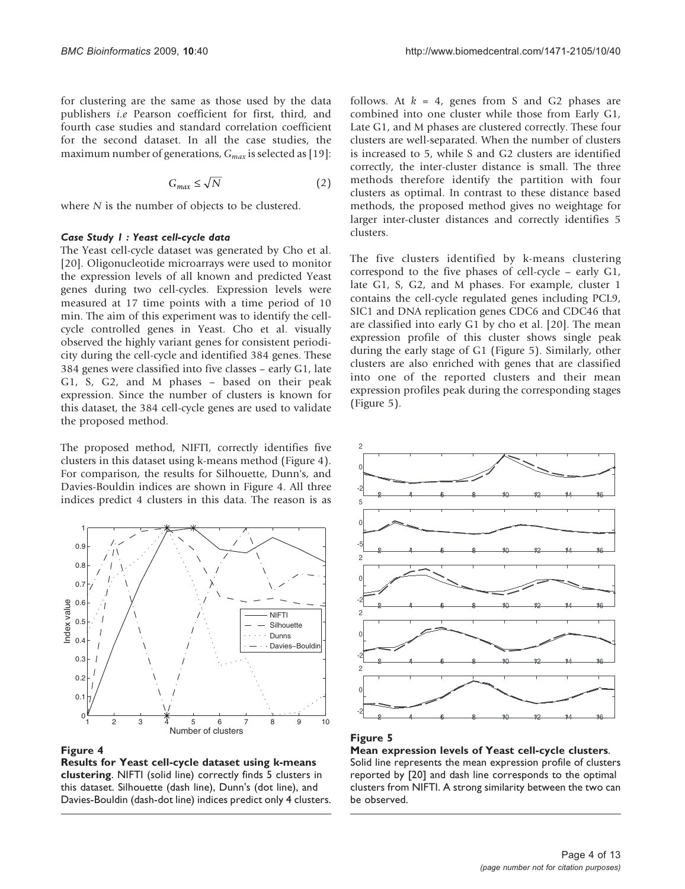for clustering are the same as those used by the data publishers i.e Pearson coefficient for first, third, and fourth case studies and standard correlation coefficient for the second dataset. In all the case studies, the maximum number of generations,  $G_{max}$  is selected as [\[19](#page-12-0)]:

$$
G_{max} \le \sqrt{N} \tag{2}
$$

where N is the number of objects to be clustered.

#### Case Study 1 : Yeast cell-cycle data

The Yeast cell-cycle dataset was generated by Cho et al. [[20\]](#page-12-0). Oligonucleotide microarrays were used to monitor the expression levels of all known and predicted Yeast genes during two cell-cycles. Expression levels were measured at 17 time points with a time period of 10 min. The aim of this experiment was to identify the cellcycle controlled genes in Yeast. Cho et al. visually observed the highly variant genes for consistent periodicity during the cell-cycle and identified 384 genes. These 384 genes were classified into five classes – early G1, late G1, S, G2, and M phases – based on their peak expression. Since the number of clusters is known for this dataset, the 384 cell-cycle genes are used to validate the proposed method.

The proposed method, NIFTI, correctly identifies five clusters in this dataset using k-means method (Figure 4). For comparison, the results for Silhouette, Dunn's, and Davies-Bouldin indices are shown in Figure 4. All three indices predict 4 clusters in this data. The reason is as



#### Figure 4

Results for Yeast cell-cycle dataset using k-means clustering. NIFTI (solid line) correctly finds 5 clusters in this dataset. Silhouette (dash line), Dunn's (dot line), and Davies-Bouldin (dash-dot line) indices predict only 4 clusters. follows. At  $k = 4$ , genes from S and G2 phases are combined into one cluster while those from Early G1, Late G1, and M phases are clustered correctly. These four clusters are well-separated. When the number of clusters is increased to 5, while S and G2 clusters are identified correctly, the inter-cluster distance is small. The three methods therefore identify the partition with four clusters as optimal. In contrast to these distance based methods, the proposed method gives no weightage for larger inter-cluster distances and correctly identifies 5 clusters.

The five clusters identified by k-means clustering correspond to the five phases of cell-cycle – early G1, late G1, S, G2, and M phases. For example, cluster 1 contains the cell-cycle regulated genes including PCL9, SIC1 and DNA replication genes CDC6 and CDC46 that are classified into early G1 by cho et al. [[20](#page-12-0)]. The mean expression profile of this cluster shows single peak during the early stage of G1 (Figure 5). Similarly, other clusters are also enriched with genes that are classified into one of the reported clusters and their mean expression profiles peak during the corresponding stages (Figure 5).



# Figure 5

Mean expression levels of Yeast cell-cycle clusters. Solid line represents the mean expression profile of clusters reported by [[20\]](#page-12-0) and dash line corresponds to the optimal clusters from NIFTI. A strong similarity between the two can be observed.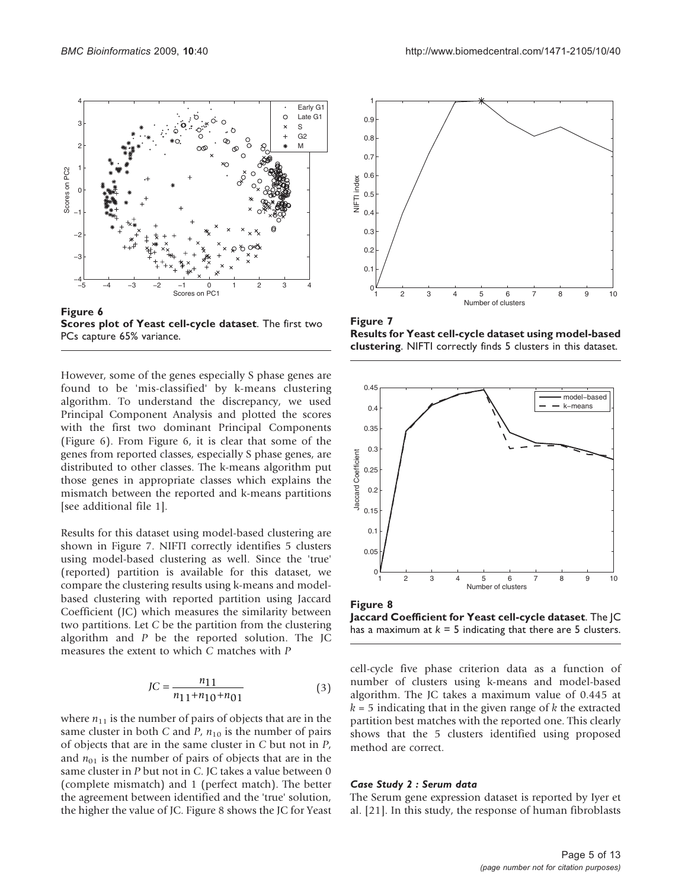

Figure 6 Scores plot of Yeast cell-cycle dataset. The first two PCs capture 65% variance.

However, some of the genes especially S phase genes are found to be 'mis-classified' by k-means clustering algorithm. To understand the discrepancy, we used Principal Component Analysis and plotted the scores with the first two dominant Principal Components (Figure 6). From Figure 6, it is clear that some of the genes from reported classes, especially S phase genes, are distributed to other classes. The k-means algorithm put those genes in appropriate classes which explains the mismatch between the reported and k-means partitions [see additional file [1](#page-11-0)].

Results for this dataset using model-based clustering are shown in Figure 7. NIFTI correctly identifies 5 clusters using model-based clustering as well. Since the 'true' (reported) partition is available for this dataset, we compare the clustering results using k-means and modelbased clustering with reported partition using Jaccard Coefficient (JC) which measures the similarity between two partitions. Let C be the partition from the clustering algorithm and  $P$  be the reported solution. The JC measures the extent to which C matches with P

$$
JC = \frac{n_{11}}{n_{11} + n_{10} + n_{01}}\tag{3}
$$

where  $n_{11}$  is the number of pairs of objects that are in the same cluster in both C and P,  $n_{10}$  is the number of pairs of objects that are in the same cluster in C but not in P, and  $n_{01}$  is the number of pairs of objects that are in the same cluster in P but not in C. JC takes a value between 0 (complete mismatch) and 1 (perfect match). The better the agreement between identified and the 'true' solution, the higher the value of JC. Figure 8 shows the JC for Yeast



Figure 7 Results for Yeast cell-cycle dataset using model-based clustering. NIFTI correctly finds 5 clusters in this dataset.



Figure 8 Jaccard Coefficient for Yeast cell-cycle dataset. The JC has a maximum at  $k = 5$  indicating that there are 5 clusters.

cell-cycle five phase criterion data as a function of number of clusters using k-means and model-based algorithm. The JC takes a maximum value of 0.445 at  $k = 5$  indicating that in the given range of k the extracted partition best matches with the reported one. This clearly shows that the 5 clusters identified using proposed method are correct.

#### Case Study 2 : Serum data

The Serum gene expression dataset is reported by Iyer et al. [[21\]](#page-12-0). In this study, the response of human fibroblasts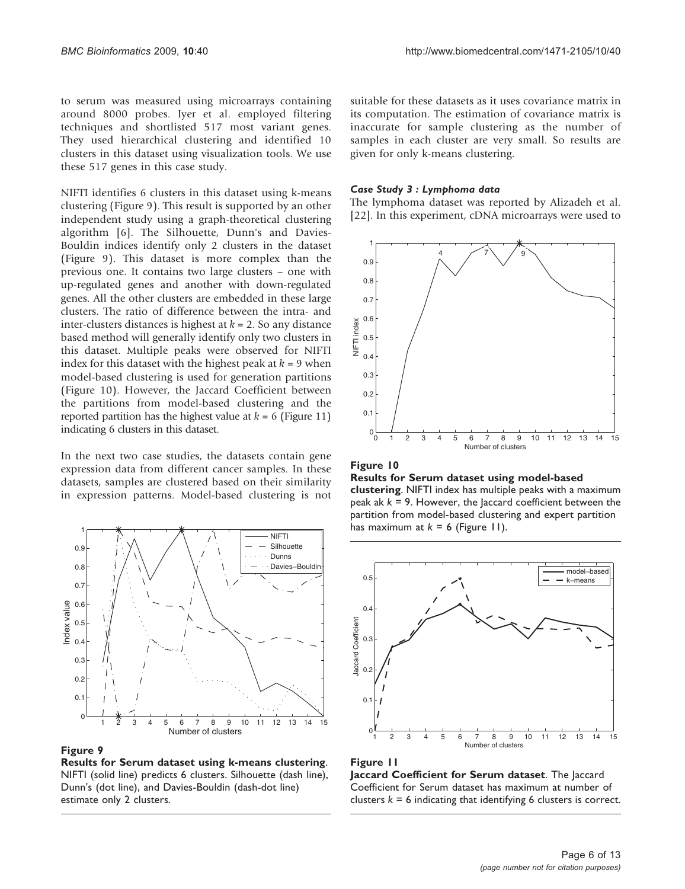to serum was measured using microarrays containing around 8000 probes. Iyer et al. employed filtering techniques and shortlisted 517 most variant genes. They used hierarchical clustering and identified 10 clusters in this dataset using visualization tools. We use these 517 genes in this case study.

NIFTI identifies 6 clusters in this dataset using k-means clustering (Figure 9). This result is supported by an other independent study using a graph-theoretical clustering algorithm [\[6\]](#page-12-0). The Silhouette, Dunn's and Davies-Bouldin indices identify only 2 clusters in the dataset (Figure 9). This dataset is more complex than the previous one. It contains two large clusters – one with up-regulated genes and another with down-regulated genes. All the other clusters are embedded in these large clusters. The ratio of difference between the intra- and inter-clusters distances is highest at  $k = 2$ . So any distance based method will generally identify only two clusters in this dataset. Multiple peaks were observed for NIFTI index for this dataset with the highest peak at  $k = 9$  when model-based clustering is used for generation partitions (Figure 10). However, the Jaccard Coefficient between the partitions from model-based clustering and the reported partition has the highest value at  $k = 6$  (Figure 11) indicating 6 clusters in this dataset.

In the next two case studies, the datasets contain gene expression data from different cancer samples. In these datasets, samples are clustered based on their similarity in expression patterns. Model-based clustering is not



#### Figure 9

Results for Serum dataset using k-means clustering. NIFTI (solid line) predicts 6 clusters. Silhouette (dash line), Dunn's (dot line), and Davies-Bouldin (dash-dot line) estimate only 2 clusters.

suitable for these datasets as it uses covariance matrix in its computation. The estimation of covariance matrix is inaccurate for sample clustering as the number of samples in each cluster are very small. So results are given for only k-means clustering.

#### Case Study 3 : Lymphoma data

The lymphoma dataset was reported by Alizadeh et al. [[22](#page-12-0)]. In this experiment, cDNA microarrays were used to



# Figure 10

#### Results for Serum dataset using model-based

clustering. NIFTI index has multiple peaks with a maximum peak ak  $k = 9$ . However, the Jaccard coefficient between the partition from model-based clustering and expert partition has maximum at  $k = 6$  (Figure 11).



# Figure 11

Jaccard Coefficient for Serum dataset. The Jaccard Coefficient for Serum dataset has maximum at number of clusters  $k = 6$  indicating that identifying 6 clusters is correct.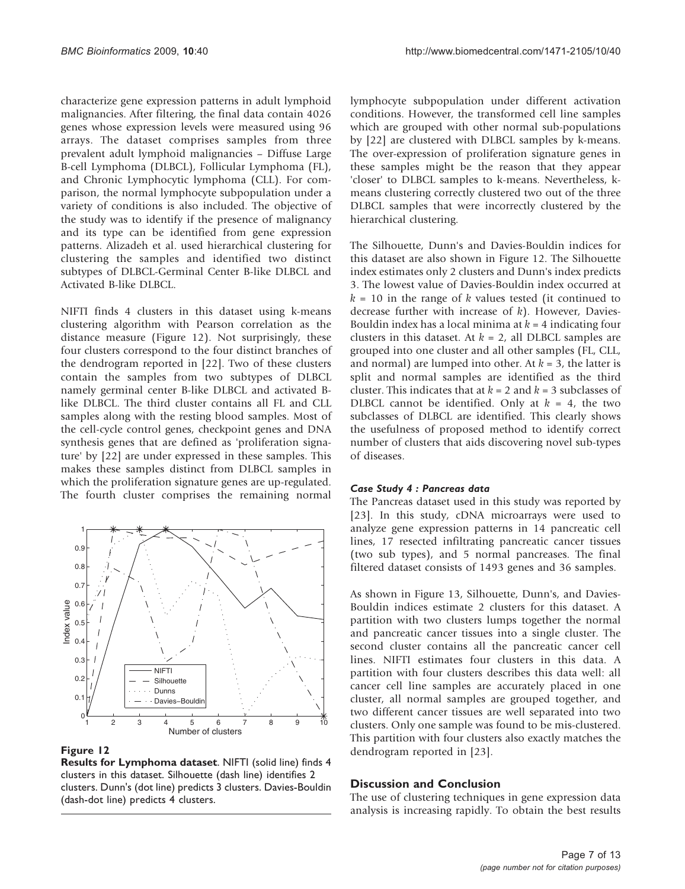characterize gene expression patterns in adult lymphoid malignancies. After filtering, the final data contain 4026 genes whose expression levels were measured using 96 arrays. The dataset comprises samples from three prevalent adult lymphoid malignancies – Diffuse Large B-cell Lymphoma (DLBCL), Follicular Lymphoma (FL), and Chronic Lymphocytic lymphoma (CLL). For comparison, the normal lymphocyte subpopulation under a variety of conditions is also included. The objective of the study was to identify if the presence of malignancy and its type can be identified from gene expression patterns. Alizadeh et al. used hierarchical clustering for clustering the samples and identified two distinct subtypes of DLBCL-Germinal Center B-like DLBCL and Activated B-like DLBCL.

NIFTI finds 4 clusters in this dataset using k-means clustering algorithm with Pearson correlation as the distance measure (Figure 12). Not surprisingly, these four clusters correspond to the four distinct branches of the dendrogram reported in [\[22](#page-12-0)]. Two of these clusters contain the samples from two subtypes of DLBCL namely germinal center B-like DLBCL and activated Blike DLBCL. The third cluster contains all FL and CLL samples along with the resting blood samples. Most of the cell-cycle control genes, checkpoint genes and DNA synthesis genes that are defined as 'proliferation signature' by [[22\]](#page-12-0) are under expressed in these samples. This makes these samples distinct from DLBCL samples in which the proliferation signature genes are up-regulated. The fourth cluster comprises the remaining normal



# Figure 12

Results for Lymphoma dataset. NIFTI (solid line) finds 4 clusters in this dataset. Silhouette (dash line) identifies 2 clusters. Dunn's (dot line) predicts 3 clusters. Davies-Bouldin (dash-dot line) predicts 4 clusters.

lymphocyte subpopulation under different activation conditions. However, the transformed cell line samples which are grouped with other normal sub-populations by [[22\]](#page-12-0) are clustered with DLBCL samples by k-means. The over-expression of proliferation signature genes in these samples might be the reason that they appear 'closer' to DLBCL samples to k-means. Nevertheless, kmeans clustering correctly clustered two out of the three DLBCL samples that were incorrectly clustered by the hierarchical clustering.

The Silhouette, Dunn's and Davies-Bouldin indices for this dataset are also shown in Figure 12. The Silhouette index estimates only 2 clusters and Dunn's index predicts 3. The lowest value of Davies-Bouldin index occurred at  $k = 10$  in the range of k values tested (it continued to decrease further with increase of  $k$ ). However, Davies-Bouldin index has a local minima at  $k = 4$  indicating four clusters in this dataset. At  $k = 2$ , all DLBCL samples are grouped into one cluster and all other samples (FL, CLL, and normal) are lumped into other. At  $k = 3$ , the latter is split and normal samples are identified as the third cluster. This indicates that at  $k = 2$  and  $k = 3$  subclasses of DLBCL cannot be identified. Only at  $k = 4$ , the two subclasses of DLBCL are identified. This clearly shows the usefulness of proposed method to identify correct number of clusters that aids discovering novel sub-types of diseases.

# Case Study 4 : Pancreas data

The Pancreas dataset used in this study was reported by [[23](#page-12-0)]. In this study, cDNA microarrays were used to analyze gene expression patterns in 14 pancreatic cell lines, 17 resected infiltrating pancreatic cancer tissues (two sub types), and 5 normal pancreases. The final filtered dataset consists of 1493 genes and 36 samples.

As shown in Figure [13](#page-7-0), Silhouette, Dunn's, and Davies-Bouldin indices estimate 2 clusters for this dataset. A partition with two clusters lumps together the normal and pancreatic cancer tissues into a single cluster. The second cluster contains all the pancreatic cancer cell lines. NIFTI estimates four clusters in this data. A partition with four clusters describes this data well: all cancer cell line samples are accurately placed in one cluster, all normal samples are grouped together, and two different cancer tissues are well separated into two clusters. Only one sample was found to be mis-clustered. This partition with four clusters also exactly matches the dendrogram reported in [\[23](#page-12-0)].

# Discussion and Conclusion

The use of clustering techniques in gene expression data analysis is increasing rapidly. To obtain the best results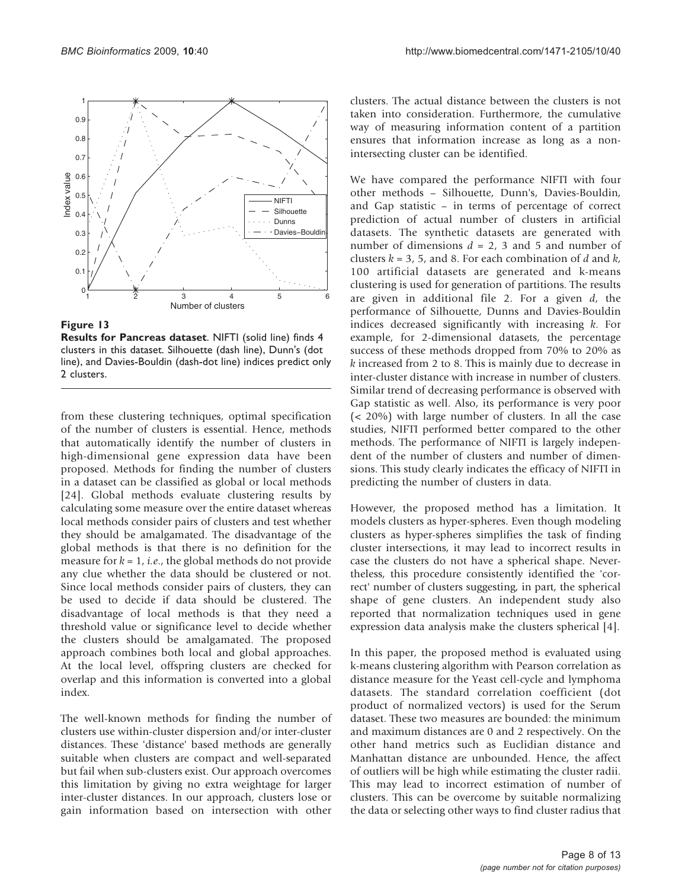<span id="page-7-0"></span>

Figure 13 Results for Pancreas dataset. NIFTI (solid line) finds 4 clusters in this dataset. Silhouette (dash line), Dunn's (dot line), and Davies-Bouldin (dash-dot line) indices predict only 2 clusters.

from these clustering techniques, optimal specification of the number of clusters is essential. Hence, methods that automatically identify the number of clusters in high-dimensional gene expression data have been proposed. Methods for finding the number of clusters in a dataset can be classified as global or local methods [[24\]](#page-12-0). Global methods evaluate clustering results by calculating some measure over the entire dataset whereas local methods consider pairs of clusters and test whether they should be amalgamated. The disadvantage of the global methods is that there is no definition for the measure for  $k = 1$ , *i.e.*, the global methods do not provide any clue whether the data should be clustered or not. Since local methods consider pairs of clusters, they can be used to decide if data should be clustered. The disadvantage of local methods is that they need a threshold value or significance level to decide whether the clusters should be amalgamated. The proposed approach combines both local and global approaches. At the local level, offspring clusters are checked for overlap and this information is converted into a global index.

The well-known methods for finding the number of clusters use within-cluster dispersion and/or inter-cluster distances. These 'distance' based methods are generally suitable when clusters are compact and well-separated but fail when sub-clusters exist. Our approach overcomes this limitation by giving no extra weightage for larger inter-cluster distances. In our approach, clusters lose or gain information based on intersection with other

clusters. The actual distance between the clusters is not taken into consideration. Furthermore, the cumulative way of measuring information content of a partition ensures that information increase as long as a nonintersecting cluster can be identified.

We have compared the performance NIFTI with four other methods – Silhouette, Dunn's, Davies-Bouldin, and Gap statistic – in terms of percentage of correct prediction of actual number of clusters in artificial datasets. The synthetic datasets are generated with number of dimensions  $d = 2$ , 3 and 5 and number of clusters  $k = 3$ , 5, and 8. For each combination of d and  $k$ , 100 artificial datasets are generated and k-means clustering is used for generation of partitions. The results are given in additional file 2. For a given  $d_i$ , the performance of Silhouette, Dunns and Davies-Bouldin indices decreased significantly with increasing  $k$ . For example, for 2-dimensional datasets, the percentage success of these methods dropped from 70% to 20% as k increased from 2 to 8. This is mainly due to decrease in inter-cluster distance with increase in number of clusters. Similar trend of decreasing performance is observed with Gap statistic as well. Also, its performance is very poor (< 20%) with large number of clusters. In all the case studies, NIFTI performed better compared to the other methods. The performance of NIFTI is largely independent of the number of clusters and number of dimensions. This study clearly indicates the efficacy of NIFTI in predicting the number of clusters in data.

However, the proposed method has a limitation. It models clusters as hyper-spheres. Even though modeling clusters as hyper-spheres simplifies the task of finding cluster intersections, it may lead to incorrect results in case the clusters do not have a spherical shape. Nevertheless, this procedure consistently identified the 'correct' number of clusters suggesting, in part, the spherical shape of gene clusters. An independent study also reported that normalization techniques used in gene expression data analysis make the clusters spherical [[4](#page-11-0)].

In this paper, the proposed method is evaluated using k-means clustering algorithm with Pearson correlation as distance measure for the Yeast cell-cycle and lymphoma datasets. The standard correlation coefficient (dot product of normalized vectors) is used for the Serum dataset. These two measures are bounded: the minimum and maximum distances are 0 and 2 respectively. On the other hand metrics such as Euclidian distance and Manhattan distance are unbounded. Hence, the affect of outliers will be high while estimating the cluster radii. This may lead to incorrect estimation of number of clusters. This can be overcome by suitable normalizing the data or selecting other ways to find cluster radius that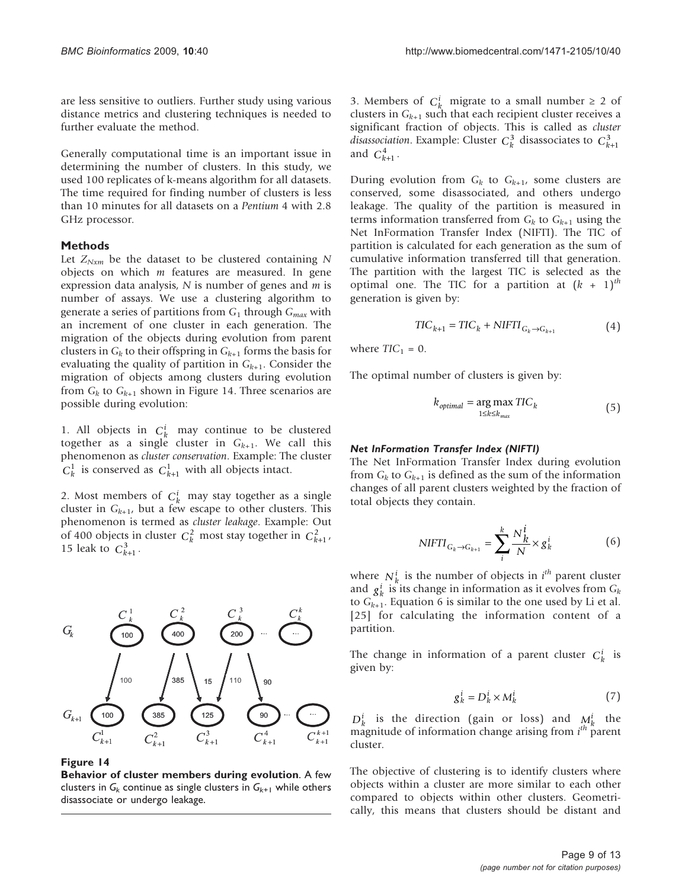are less sensitive to outliers. Further study using various distance metrics and clustering techniques is needed to further evaluate the method.

Generally computational time is an important issue in determining the number of clusters. In this study, we used 100 replicates of k-means algorithm for all datasets. The time required for finding number of clusters is less than 10 minutes for all datasets on a Pentium 4 with 2.8 GHz processor.

# Methods

Let  $Z_{Nxm}$  be the dataset to be clustered containing N objects on which  $m$  features are measured. In gene expression data analysis, N is number of genes and m is number of assays. We use a clustering algorithm to generate a series of partitions from  $G_1$  through  $G_{max}$  with an increment of one cluster in each generation. The migration of the objects during evolution from parent clusters in  $G_k$  to their offspring in  $G_{k+1}$  forms the basis for evaluating the quality of partition in  $G_{k+1}$ . Consider the migration of objects among clusters during evolution from  $G_k$  to  $G_{k+1}$  shown in Figure 14. Three scenarios are possible during evolution:

1. All objects in  $C_k^i$  may continue to be clustered together as a single cluster in  $G_{k+1}$ . We call this phenomenon as cluster conservation. Example: The cluster  $C_k^1$  is conserved as  $C_{k+1}^1$  with all objects intact.

2. Most members of  $C_k^i$  may stay together as a single cluster in  $G_{k+1}$ , but a few escape to other clusters. This phenomenon is termed as cluster leakage. Example: Out of 400 objects in cluster  $C_k^2$  most stay together in  $C_{k+1}^2$ , 15 leak to  $C_{k+1}^3$ .



Figure 14

Behavior of cluster members during evolution. A few clusters in  $G_k$  continue as single clusters in  $G_{k+1}$  while others disassociate or undergo leakage.

3. Members of  $C_k^i$  migrate to a small number  $\geq 2$  of clusters in  $G_{k+1}$  such that each recipient cluster receives a significant fraction of objects. This is called as cluster disassociation. Example: Cluster  $C_k^3$  disassociates to  $C_{k+1}^3$ and  $C_{k+1}^4$ .

During evolution from  $G_k$  to  $G_{k+1}$ , some clusters are conserved, some disassociated, and others undergo leakage. The quality of the partition is measured in terms information transferred from  $G_k$  to  $G_{k+1}$  using the Net InFormation Transfer Index (NIFTI). The TIC of partition is calculated for each generation as the sum of cumulative information transferred till that generation. The partition with the largest TIC is selected as the optimal one. The TIC for a partition at  $(k + 1)^{th}$ generation is given by:

$$
TIC_{k+1} = TIC_k + NIFTI_{G_k \to G_{k+1}}
$$
 (4)

where  $TIC_1 = 0$ .

The optimal number of clusters is given by:

$$
k_{optimal} = \underset{1 \le k \le k_{max}}{\arg \max} TIC_k \tag{5}
$$

# Net InFormation Transfer Index (NIFTI)

The Net InFormation Transfer Index during evolution from  $G_k$  to  $G_{k+1}$  is defined as the sum of the information changes of all parent clusters weighted by the fraction of total objects they contain.

$$
NIFTI_{G_k \to G_{k+1}} = \sum_{i}^{k} \frac{N_k^i}{N} \times g_k^i
$$
 (6)

where  $N_k^i$  is the number of objects in  $i^{th}$  parent cluster and  $g_k^i$  is its change in information as it evolves from  $G_k$ to  $G_{k+1}$ . Equation 6 is similar to the one used by Li et al. [[25](#page-12-0)] for calculating the information content of a partition.

The change in information of a parent cluster  $C_k^i$  is given by:

$$
g_k^i = D_k^i \times M_k^i \tag{7}
$$

 $D_k^i$  is the direction (gain or loss) and  $M_k^i$  the magnitude of information change arising from  $i<sup>th</sup>$  parent cluster.

The objective of clustering is to identify clusters where objects within a cluster are more similar to each other compared to objects within other clusters. Geometrically, this means that clusters should be distant and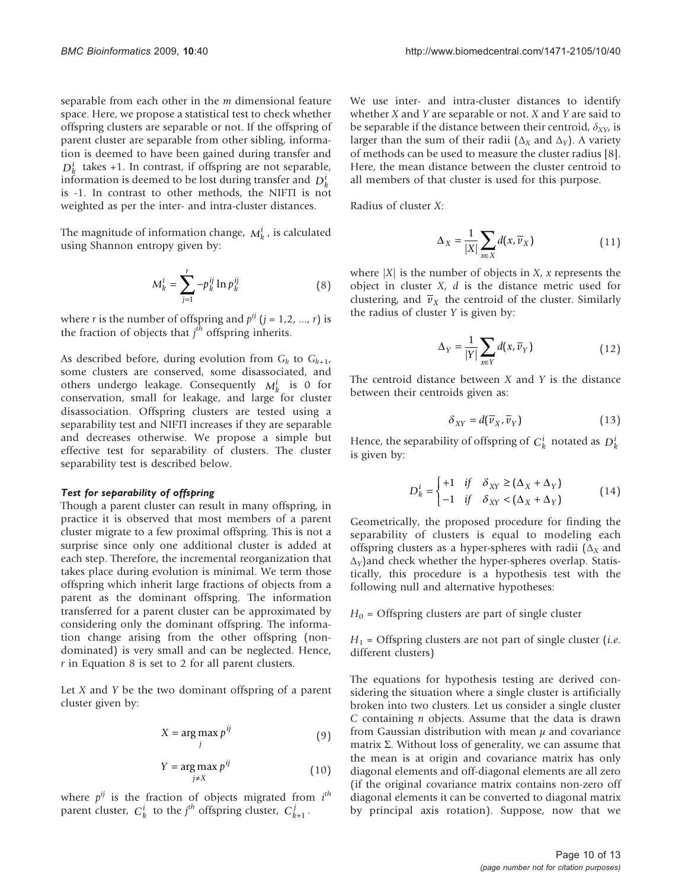separable from each other in the m dimensional feature space. Here, we propose a statistical test to check whether offspring clusters are separable or not. If the offspring of parent cluster are separable from other sibling, information is deemed to have been gained during transfer and  $D_k^i$  takes +1. In contrast, if offspring are not separable, information is deemed to be lost during transfer and  $D_k^i$ is -1. In contrast to other methods, the NIFTI is not weighted as per the inter- and intra-cluster distances.

The magnitude of information change,  $M_k^i$ , is calculated using Shannon entropy given by:

$$
M_k^i = \sum_{j=1}^r -p_k^{ij} \ln p_k^{ij}
$$
 (8)

where *r* is the number of offspring and  $p^{ij}$  (*j* = 1,2, ..., *r*) is the fraction of objects that  $j^{\bar{t}h}$  offspring inherits.

As described before, during evolution from  $G_k$  to  $G_{k+1}$ , some clusters are conserved, some disassociated, and others undergo leakage. Consequently *M<sup>k</sup> i* is 0 for conservation, small for leakage, and large for cluster disassociation. Offspring clusters are tested using a separability test and NIFTI increases if they are separable and decreases otherwise. We propose a simple but effective test for separability of clusters. The cluster separability test is described below.

#### Test for separability of offspring

Though a parent cluster can result in many offspring, in practice it is observed that most members of a parent cluster migrate to a few proximal offspring. This is not a surprise since only one additional cluster is added at each step. Therefore, the incremental reorganization that takes place during evolution is minimal. We term those offspring which inherit large fractions of objects from a parent as the dominant offspring. The information transferred for a parent cluster can be approximated by considering only the dominant offspring. The information change arising from the other offspring (nondominated) is very small and can be neglected. Hence,  $r$  in Equation 8 is set to 2 for all parent clusters.

Let  $X$  and  $Y$  be the two dominant offspring of a parent cluster given by:

$$
X = \arg\max_{j} p^{ij} \tag{9}
$$

$$
Y = \underset{j \neq X}{\arg \max} p^{ij} \tag{10}
$$

where  $p^{ij}$  is the fraction of objects migrated from  $i^{th}$ parent cluster,  $C_k^i$  to the *j*<sup>th</sup> offspring cluster,  $C_{k+1}^j$ .

We use inter- and intra-cluster distances to identify whether X and Y are separable or not. X and Y are said to be separable if the distance between their centroid,  $\delta_{XY}$ , is larger than the sum of their radii ( $\Delta_X$  and  $\Delta_Y$ ). A variety of methods can be used to measure the cluster radius [[8](#page-12-0)]. Here, the mean distance between the cluster centroid to all members of that cluster is used for this purpose.

Radius of cluster X:

$$
\Delta_X = \frac{1}{|X|} \sum_{x \in X} d(x, \overline{v}_X)
$$
 (11)

where  $|X|$  is the number of objects in  $X$ , x represents the object in cluster  $X$ ,  $d$  is the distance metric used for clustering, and  $\overline{v}_X$  the centroid of the cluster. Similarly the radius of cluster Y is given by:

$$
\Delta_Y = \frac{1}{|Y|} \sum_{x \in Y} d(x, \overline{v}_Y)
$$
 (12)

The centroid distance between X and Y is the distance between their centroids given as:

$$
\delta_{XY} = d(\overline{\nu}_X, \overline{\nu}_Y) \tag{13}
$$

Hence, the separability of offspring of  $C_k^i$  notated as  $D_k^i$ is given by:

$$
D_k^i = \begin{cases} +1 & \text{if } \delta_{XY} \ge (\Delta_X + \Delta_Y) \\ -1 & \text{if } \delta_{XY} < (\Delta_X + \Delta_Y) \end{cases}
$$
(14)

Geometrically, the proposed procedure for finding the separability of clusters is equal to modeling each offspring clusters as a hyper-spheres with radii ( $\Delta_X$  and  $\Delta$ <sub>Y</sub>) and check whether the hyper-spheres overlap. Statistically, this procedure is a hypothesis test with the following null and alternative hypotheses:

 $H_0$  = Offspring clusters are part of single cluster

 $H_1$  = Offspring clusters are not part of single cluster (*i.e.* different clusters)

The equations for hypothesis testing are derived considering the situation where a single cluster is artificially broken into two clusters. Let us consider a single cluster  $C$  containing  $n$  objects. Assume that the data is drawn from Gaussian distribution with mean  $\mu$  and covariance matrix Σ. Without loss of generality, we can assume that the mean is at origin and covariance matrix has only diagonal elements and off-diagonal elements are all zero (if the original covariance matrix contains non-zero off diagonal elements it can be converted to diagonal matrix by principal axis rotation). Suppose, now that we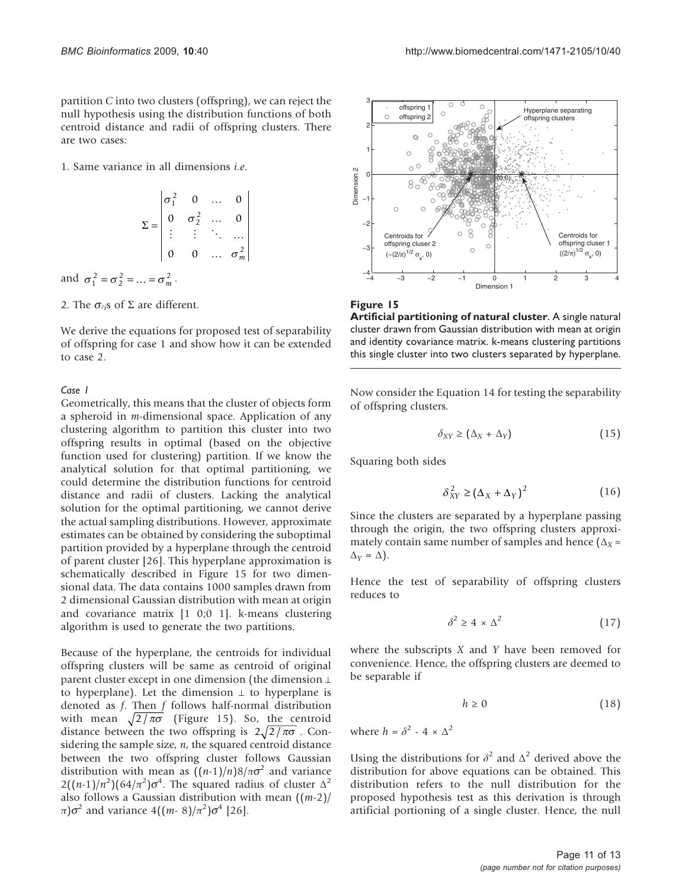partition C into two clusters (offspring), we can reject the null hypothesis using the distribution functions of both centroid distance and radii of offspring clusters. There are two cases:

1. Same variance in all dimensions i.e.

$$
\Sigma = \begin{vmatrix} \sigma_1^2 & 0 & \dots & 0 \\ 0 & \sigma_2^2 & \dots & 0 \\ \vdots & \vdots & \ddots & \vdots \\ 0 & 0 & \dots & \sigma_m^2 \end{vmatrix}
$$

and  $\sigma_1^2 = \sigma_2^2 = ... = \sigma_m^2$ .

2. The  $\sigma_{2i}$ s of Σ are different.

We derive the equations for proposed test of separability of offspring for case 1 and show how it can be extended to case 2.

Case 1

Geometrically, this means that the cluster of objects form a spheroid in m-dimensional space. Application of any clustering algorithm to partition this cluster into two offspring results in optimal (based on the objective function used for clustering) partition. If we know the analytical solution for that optimal partitioning, we could determine the distribution functions for centroid distance and radii of clusters. Lacking the analytical solution for the optimal partitioning, we cannot derive the actual sampling distributions. However, approximate estimates can be obtained by considering the suboptimal partition provided by a hyperplane through the centroid of parent cluster [\[26](#page-12-0)]. This hyperplane approximation is schematically described in Figure 15 for two dimensional data. The data contains 1000 samples drawn from 2 dimensional Gaussian distribution with mean at origin and covariance matrix [1 0;0 1]. k-means clustering algorithm is used to generate the two partitions.

Because of the hyperplane, the centroids for individual offspring clusters will be same as centroid of original parent cluster except in one dimension (the dimension ⊥ to hyperplane). Let the dimension  $\perp$  to hyperplane is denoted as f. Then f follows half-normal distribution with mean  $\sqrt{2 / \pi \sigma}$  (Figure 15). So, the centroid distance between the two offspring is  $2\sqrt{2}/\pi\sigma$ . Considering the sample size,  $n$ , the squared centroid distance between the two offspring cluster follows Gaussian distribution with mean as  $((n-1)/n)8/\pi\sigma^2$  and variance  $2((n-1)/n^2)(64/\pi^2)\sigma^4$ . The squared radius of cluster  $\Delta^2$ also follows a Gaussian distribution with mean  $((m-2)/$  $\pi$ ) $\sigma^2$  and variance 4((m- 8)/ $\pi^2$ ) $\sigma^4$  [[26](#page-12-0)].





Artificial partitioning of natural cluster. A single natural cluster drawn from Gaussian distribution with mean at origin and identity covariance matrix. k-means clustering partitions this single cluster into two clusters separated by hyperplane.

Now consider the Equation 14 for testing the separability of offspring clusters.

$$
\delta_{XY} \geq (\Delta_X + \Delta_Y) \tag{15}
$$

Squaring both sides

$$
\delta_{XY}^2 \ge (\Delta_X + \Delta_Y)^2 \tag{16}
$$

Since the clusters are separated by a hyperplane passing through the origin, the two offspring clusters approximately contain same number of samples and hence ( $\Delta_X \approx$  $\Delta_Y = \Delta$ ).

Hence the test of separability of offspring clusters reduces to

$$
\delta^2 \ge 4 \times \Delta^2 \tag{17}
$$

where the subscripts  $X$  and  $Y$  have been removed for convenience. Hence, the offspring clusters are deemed to be separable if

$$
h \ge 0 \tag{18}
$$

where  $h = \delta^2 - 4 \times \Delta^2$ 

Using the distributions for  $\delta^2$  and  $\Delta^2$  derived above the distribution for above equations can be obtained. This distribution refers to the null distribution for the proposed hypothesis test as this derivation is through artificial portioning of a single cluster. Hence, the null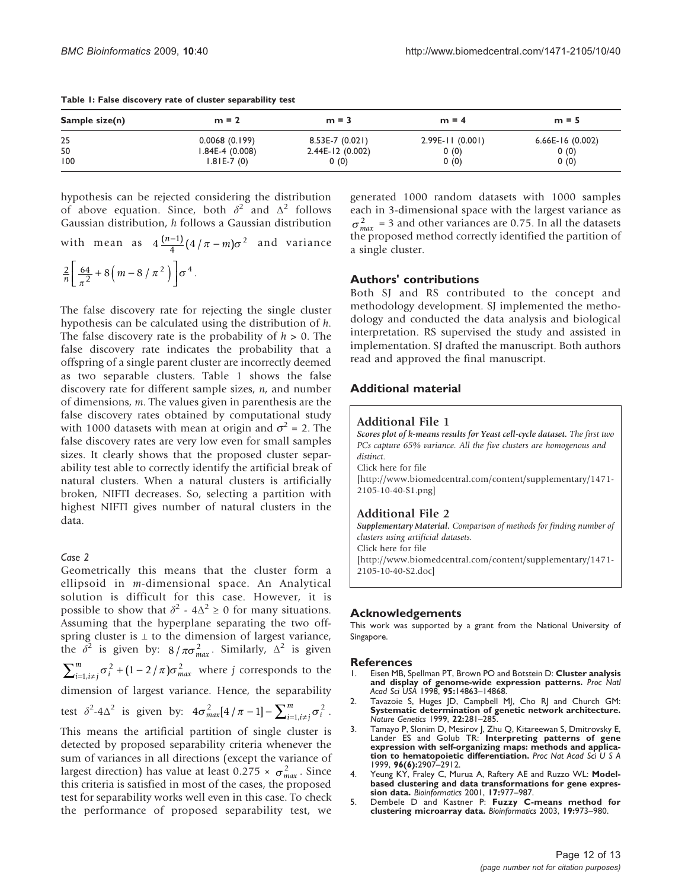| Sample size(n) | $m = 2$       | $m = 3$          | $m = 4$          | $m = 5$           |
|----------------|---------------|------------------|------------------|-------------------|
| 25             | 0.0068(0.199) | 8.53E-7 (0.021)  | 2.99E-II (0.001) | $6.66E-16(0.002)$ |
| 50             | 84E-4 (0.008) | 2.44E-12 (0.002) | 0(0)             | 0(0)              |
| 100            | 1.81E-7 (0)   | 0(0)             | 0(0)             | 0(0)              |

<span id="page-11-0"></span>Table 1: False discovery rate of cluster separability test

hypothesis can be rejected considering the distribution of above equation. Since, both  $\delta^2$  and  $\Delta^2$  follows Gaussian distribution, h follows a Gaussian distribution

with mean as  $4 \frac{(n-1)}{4} (4$  $\frac{(n-1)}{4}(4/\pi-m)\sigma^2$  and variance  $\frac{2}{n} \left( \frac{64}{\pi^2} + 8 \left( m - 8 / \pi^2 \right) \right) \sigma^4$ L  $\overline{\phantom{a}}$  $\left(\pi^2\right)\right]$   $\sigma^4$ .

The false discovery rate for rejecting the single cluster hypothesis can be calculated using the distribution of h. The false discovery rate is the probability of  $h > 0$ . The false discovery rate indicates the probability that a offspring of a single parent cluster are incorrectly deemed as two separable clusters. Table 1 shows the false discovery rate for different sample sizes, n, and number of dimensions, m. The values given in parenthesis are the false discovery rates obtained by computational study with 1000 datasets with mean at origin and  $\sigma^2 = 2$ . The false discovery rates are very low even for small samples sizes. It clearly shows that the proposed cluster separability test able to correctly identify the artificial break of natural clusters. When a natural clusters is artificially broken, NIFTI decreases. So, selecting a partition with highest NIFTI gives number of natural clusters in the data.

Case 2

Geometrically this means that the cluster form a ellipsoid in m-dimensional space. An Analytical solution is difficult for this case. However, it is possible to show that  $\delta^2$  -  $4\Delta^2 \ge 0$  for many situations. Assuming that the hyperplane separating the two offspring cluster is ⊥ to the dimension of largest variance, the  $\delta^2$  is given by:  $8/\pi\sigma_{max}^2$ . Similarly,  $\Delta^2$  is given  $\sum_{i=1, i \neq j}^{m} \sigma_i^2 + (1 - 2 / \pi) \sigma_{max}^2$  $\sum_{i=1,i\neq j}^{m}\sigma_{i}^{2}+(1-2/\pi)\sigma_{max}^{2}$  where j corresponds to the dimension of largest variance. Hence, the separability test  $\delta^2$ -4 $\Delta^2$  is given by:  $4\sigma_{max}^2[4/\pi-1]-\sum_{i=1,i\neq j}^m \sigma_i^2$ . This means the artificial partition of single cluster is detected by proposed separability criteria whenever the sum of variances in all directions (except the variance of largest direction) has value at least  $0.275 \times \sigma_{max}^2$ . Since this criteria is satisfied in most of the cases, the proposed

test for separability works well even in this case. To check the performance of proposed separability test, we generated 1000 random datasets with 1000 samples each in 3-dimensional space with the largest variance as  $\sigma_{max}^2$  = 3 and other variances are 0.75. In all the datasets the proposed method correctly identified the partition of a single cluster.

# Authors' contributions

Both SJ and RS contributed to the concept and methodology development. SJ implemented the methodology and conducted the data analysis and biological interpretation. RS supervised the study and assisted in implementation. SJ drafted the manuscript. Both authors read and approved the final manuscript.

# Additional material

#### Additional File 1

Scores plot of k-means results for Yeast cell-cycle dataset. The first two PCs capture 65% variance. All the five clusters are homogenous and distinct. Click here for file [http://www.biomedcentral.com/content/supplementary/1471- 2105-10-40-S1.png]

#### Additional File 2

Supplementary Material. Comparison of methods for finding number of clusters using artificial datasets. Click here for file [http://www.biomedcentral.com/content/supplementary/1471- 2105-10-40-S2.doc]

#### Acknowledgements

This work was supported by a grant from the National University of Singapore.

#### References

- Eisen MB, Spellman PT, Brown PO and Botstein D: [Cluster analysis](http://www.ncbi.nlm.nih.gov/pubmed/9843981?dopt=Abstract) [and display of genome-wide expression patterns.](http://www.ncbi.nlm.nih.gov/pubmed/9843981?dopt=Abstract) Proc Nat<br>Acad Sci USA 1998, 95:14863–14868.
- 2. Tavazoie S, Huges JD, Campbell MJ, Cho RJ and Church GM: [Systematic determination of genetic network architecture.](http://www.ncbi.nlm.nih.gov/pubmed/10391217?dopt=Abstract) Nature Genetics 1999, 22:281–285.
- 3. Tamayo P, Slonim D, Mesirov J, Zhu Q, Kitareewan S, Dmitrovsky E, Lander ES and Golub TR: [Interpreting patterns of gene](http://www.ncbi.nlm.nih.gov/pubmed/10077610?dopt=Abstract) expression with self-organizing maps: methods and applica-<br>[tion to hematopoietic differentiation.](http://www.ncbi.nlm.nih.gov/pubmed/10077610?dopt=Abstract) Proc Nat Acad Sci U S A 1999, 96(6):2907–2912.
- 4. Yeung KY, Fraley C, Murua A, Raftery AE and Ruzzo WL: [Model](http://www.ncbi.nlm.nih.gov/pubmed/11673243?dopt=Abstract)[based clustering and data transformations for gene expres](http://www.ncbi.nlm.nih.gov/pubmed/11673243?dopt=Abstract)[sion data.](http://www.ncbi.nlm.nih.gov/pubmed/11673243?dopt=Abstract) Bioinformatics 2001, 17:977–987.
- 5. Dembele D and Kastner P: [Fuzzy C-means method for](http://www.ncbi.nlm.nih.gov/pubmed/12761060?dopt=Abstract) [clustering microarray data.](http://www.ncbi.nlm.nih.gov/pubmed/12761060?dopt=Abstract) Bioinformatics 2003, 19:973–980.